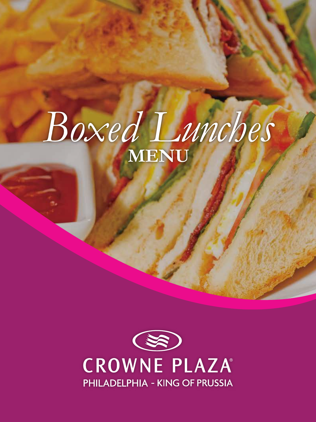# Boxed Lunches MENU